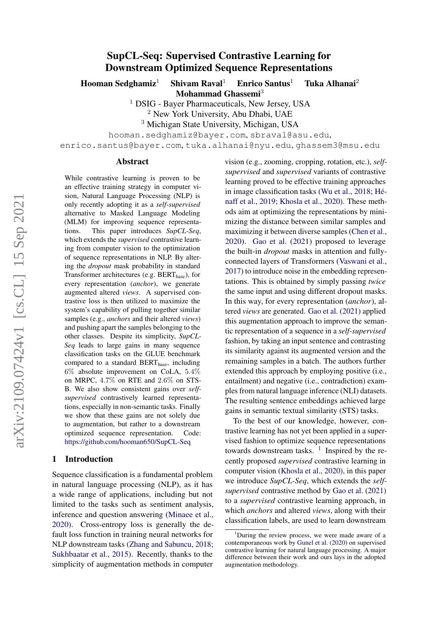# SupCL-Seq: Supervised Contrastive Learning for Downstream Optimized Sequence Representations

Hooman Sedghamiz<sup>1</sup> Shivam Raval<sup>1</sup> Enrico Santus<sup>1</sup> Tuka Alhanai<sup>2</sup> Mohammad Ghassemi<sup>3</sup>

<sup>1</sup> DSIG - Bayer Pharmaceuticals, New Jersey, USA

<sup>2</sup> New York University, Abu Dhabi, UAE

<sup>3</sup> Michigan State University, Michigan, USA

hooman.sedghamiz@bayer.com, sbraval@asu.edu,

enrico.santus@bayer.com, tuka.alhanai@nyu.edu, ghassem3@msu.edu

#### Abstract

While contrastive learning is proven to be an effective training strategy in computer vision, Natural Language Processing (NLP) is only recently adopting it as a *self-supervised* alternative to Masked Language Modeling (MLM) for improving sequence representations. This paper introduces *SupCL-Seq*, which extends the *supervised* contrastive learning from computer vision to the optimization of sequence representations in NLP. By altering the *dropout* mask probability in standard Transformer architectures (e.g. BERT<sub>base</sub>), for every representation (*anchor*), we generate augmented altered *views*. A supervised contrastive loss is then utilized to maximize the system's capability of pulling together similar samples (e.g., *anchors* and their altered *views*) and pushing apart the samples belonging to the other classes. Despite its simplicity, *SupCL-Seq* leads to large gains in many sequence classification tasks on the GLUE benchmark compared to a standard  $BERT_{base}$ , including 6% absolute improvement on CoLA, 5.4% on MRPC, 4.7% on RTE and 2.6% on STS-B. We also show consistent gains over *selfsupervised* contrastively learned representations, especially in non-semantic tasks. Finally we show that these gains are not solely due to augmentation, but rather to a downstream optimized sequence representation. Code: <https://github.com/hooman650/SupCL-Seq>

#### 1 Introduction

Sequence classification is a fundamental problem in natural language processing (NLP), as it has a wide range of applications, including but not limited to the tasks such as sentiment analysis, inference and question answering [\(Minaee et al.,](#page-4-0) [2020\)](#page-4-0). Cross-entropy loss is generally the default loss function in training neural networks for NLP downstream tasks [\(Zhang and Sabuncu,](#page-4-1) [2018;](#page-4-1) [Sukhbaatar et al.,](#page-4-2) [2015\)](#page-4-2). Recently, thanks to the simplicity of augmentation methods in computer vision (e.g., zooming, cropping, rotation, etc.), *selfsupervised* and *supervised* variants of contrastive learning proved to be effective training approaches in image classification tasks [\(Wu et al.,](#page-4-3) [2018;](#page-4-3) [Hé](#page-4-4)[naff et al.,](#page-4-4) [2019;](#page-4-4) [Khosla et al.,](#page-4-5) [2020\)](#page-4-5). These methods aim at optimizing the representations by minimizing the distance between similar samples and maximizing it between diverse samples [\(Chen et al.,](#page-4-6) [2020\)](#page-4-6). [Gao et al.](#page-4-7) [\(2021\)](#page-4-7) proposed to leverage the built-in *dropout* masks in attention and fullyconnected layers of Transformers [\(Vaswani et al.,](#page-4-8) [2017\)](#page-4-8) to introduce noise in the embedding representations. This is obtained by simply passing *twice* the same input and using different dropout masks. In this way, for every representation (*anchor*), altered *views* are generated. [Gao et al.](#page-4-7) [\(2021\)](#page-4-7) applied this augmentation approach to improve the semantic representation of a sequence in a *self-supervised* fashion, by taking an input sentence and contrasting its similarity against its augmented version and the remaining samples in a batch. The authors further extended this approach by employing positive (i.e., entailment) and negative (i.e., contradiction) examples from natural language inference (NLI) datasets. The resulting sentence embeddings achieved large gains in semantic textual similarity (STS) tasks.

To the best of our knowledge, however, contrastive learning has not yet been applied in a supervised fashion to optimize sequence representations towards downstream tasks.  $\frac{1}{1}$  $\frac{1}{1}$  $\frac{1}{1}$  Inspired by the recently proposed *supervised* contrastive learning in computer vision [\(Khosla et al.,](#page-4-5) [2020\)](#page-4-5), in this paper we introduce *SupCL-Seq*, which extends the *selfsupervised* contrastive method by [Gao et al.](#page-4-7) [\(2021\)](#page-4-7) to a *supervised* contrastive learning approach, in which *anchors* and altered *views*, along with their classification labels, are used to learn downstream

<span id="page-0-0"></span> $1$ During the review process, we were made aware of a contemporaneous work by [Gunel et al.](#page-4-9) [\(2020\)](#page-4-9) on supervised contrastive learning for natural language processing. A major difference between their work and ours lays in the adopted augmentation methodology.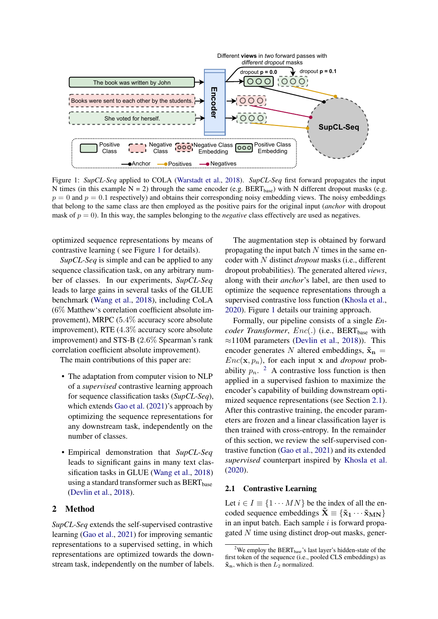<span id="page-1-0"></span>

Figure 1: *SupCL-Seq* applied to COLA [\(Warstadt et al.,](#page-4-10) [2018\)](#page-4-10). *SupCL-Seq* first forward propagates the input N times (in this example N = 2) through the same encoder (e.g. BERT<sub>base</sub>) with N different dropout masks (e.g.  $p = 0$  and  $p = 0.1$  respectively) and obtains their corresponding noisy embedding views. The noisy embeddings that belong to the same class are then employed as the positive pairs for the original input (*anchor* with dropout mask of  $p = 0$ ). In this way, the samples belonging to the *negative* class effectively are used as negatives.

optimized sequence representations by means of contrastive learning ( see Figure [1](#page-1-0) for details).

*SupCL-Seq* is simple and can be applied to any sequence classification task, on any arbitrary number of classes. In our experiments, *SupCL-Seq* leads to large gains in several tasks of the GLUE benchmark [\(Wang et al.,](#page-4-11) [2018\)](#page-4-11), including CoLA (6% Matthew's correlation coefficient absolute improvement), MRPC (5.4% accuracy score absolute improvement), RTE (4.3% accuracy score absolute improvement) and STS-B (2.6% Spearman's rank correlation coefficient absolute improvement).

The main contributions of this paper are:

- The adaptation from computer vision to NLP of a *supervised* contrastive learning approach for sequence classification tasks (*SupCL-Seq*), which extends [Gao et al.](#page-4-7) [\(2021\)](#page-4-7)'s approach by optimizing the sequence representations for any downstream task, independently on the number of classes.
- Empirical demonstration that *SupCL-Seq* leads to significant gains in many text classification tasks in GLUE [\(Wang et al.,](#page-4-11) [2018\)](#page-4-11) using a standard transformer such as  $BERT_{base}$ [\(Devlin et al.,](#page-4-12) [2018\)](#page-4-12).

### 2 Method

*SupCL-Seq* extends the self-supervised contrastive learning [\(Gao et al.,](#page-4-7) [2021\)](#page-4-7) for improving semantic representations to a supervised setting, in which representations are optimized towards the downstream task, independently on the number of labels.

The augmentation step is obtained by forward propagating the input batch  $N$  times in the same encoder with N distinct *dropout* masks (i.e., different dropout probabilities). The generated altered *views*, along with their *anchor*'s label, are then used to optimize the sequence representations through a supervised contrastive loss function [\(Khosla et al.,](#page-4-5) [2020\)](#page-4-5). Figure [1](#page-1-0) details our training approach.

Formally, our pipeline consists of a single *En*coder Transformer, Enc(.) (i.e., BERT<sub>base</sub> with ≈110M parameters [\(Devlin et al.,](#page-4-12) [2018\)](#page-4-12)). This encoder generates N altered embeddings,  $\tilde{\mathbf{x}}_n$  =  $Enc(\mathbf{x}, p_n)$ , for each input x and *dropout* probability  $p_n$ . <sup>[2](#page-1-1)</sup> A contrastive loss function is then applied in a supervised fashion to maximize the encoder's capability of building downstream optimized sequence representations (see Section [2.1\)](#page-1-2). After this contrastive training, the encoder parameters are frozen and a linear classification layer is then trained with cross-entropy. In the remainder of this section, we review the self-supervised contrastive function [\(Gao et al.,](#page-4-7) [2021\)](#page-4-7) and its extended *supervised* counterpart inspired by [Khosla et al.](#page-4-5) [\(2020\)](#page-4-5).

## <span id="page-1-2"></span>2.1 Contrastive Learning

Let  $i \in I \equiv \{1 \cdots MN\}$  be the index of all the encoded sequence embeddings  $\tilde{\mathbf{X}} \equiv \{ \tilde{\mathbf{x}}_1 \cdots \tilde{\mathbf{x}}_{MN} \}$ in an input batch. Each sample  $i$  is forward propagated  $N$  time using distinct drop-out masks, gener-

<span id="page-1-1"></span><sup>&</sup>lt;sup>2</sup>We employ the BERT<sub>base</sub>'s last layer's hidden-state of the first token of the sequence (i.e., pooled CLS embeddings) as  $\tilde{\mathbf{x}}_n$ , which is then  $L_2$  normalized.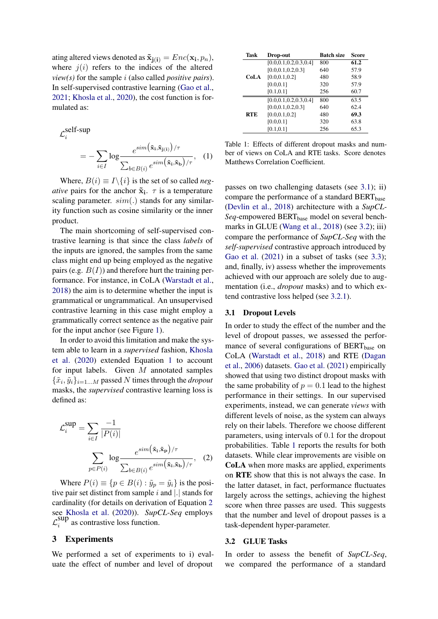ating altered views denoted as  $\mathbf{\tilde{x}}_{j(i)} = Enc(\mathbf{x_i}, p_n),$ where  $j(i)$  refers to the indices of the altered *view(s)* for the sample i (also called *positive pairs*). In self-supervised contrastive learning [\(Gao et al.,](#page-4-7) [2021;](#page-4-7) [Khosla et al.,](#page-4-5) [2020\)](#page-4-5), the cost function is formulated as:

$$
\mathcal{L}_i^{\text{self-sup}} = -\sum_{i \in I} \log \frac{e^{\text{sim}(\tilde{\mathbf{x}}_i, \tilde{\mathbf{x}}_{\text{j}(i)}) / \tau}}{\sum_{b \in B(i)} e^{\text{sim}(\tilde{\mathbf{x}}_i, \tilde{\mathbf{x}}_b) / \tau}}, \quad (1)
$$

Where,  $B(i) \equiv I \setminus \{i\}$  is the set of so called *negative* pairs for the anchor  $\tilde{\mathbf{x}}_i$ .  $\tau$  is a temperature scaling parameter.  $sim(.)$  stands for any similarity function such as cosine similarity or the inner product.

The main shortcoming of self-supervised contrastive learning is that since the class *labels* of the inputs are ignored, the samples from the same class might end up being employed as the negative pairs (e.g.  $B(I)$ ) and therefore hurt the training performance. For instance, in CoLA [\(Warstadt et al.,](#page-4-10) [2018\)](#page-4-10) the aim is to determine whether the input is grammatical or ungrammatical. An unsupervised contrastive learning in this case might employ a grammatically correct sentence as the negative pair for the input anchor (see Figure [1\)](#page-1-0).

In order to avoid this limitation and make the system able to learn in a *supervised* fashion, [Khosla](#page-4-5) [et al.](#page-4-5) [\(2020\)](#page-4-5) extended Equation [1](#page-2-0) to account for input labels. Given  $M$  annotated samples  $\{\tilde{x}_i, \tilde{y}_i\}_{i=1...M}$  passed N times through the *dropout* masks, the *supervised* contrastive learning loss is defined as:

$$
\mathcal{L}_i^{\text{sup}} = \sum_{i \in I} \frac{-1}{|P(i)|}
$$

$$
\sum_{p \in P(i)} \log \frac{e^{\sin(\tilde{\mathbf{x}}_i, \tilde{\mathbf{x}}_p)/\tau}}{\sum_{b \in B(i)} e^{\sin(\tilde{\mathbf{x}}_i, \tilde{\mathbf{x}}_b)/\tau}}, \quad (2)
$$

Where  $P(i) \equiv \{p \in B(i) : \tilde{y}_p = \tilde{y}_i\}$  is the positive pair set distinct from sample  $i$  and  $|.|$  stands for cardinality (for details on derivation of Equation [2](#page-2-1) see [Khosla et al.](#page-4-5) [\(2020\)](#page-4-5)). *SupCL-Seq* employs  $\mathcal{L}_i^{\text{sup}}$  $\sum_{i=1}^{3}$  as contrastive loss function.

### 3 Experiments

We performed a set of experiments to i) evaluate the effect of number and level of dropout

<span id="page-2-4"></span>

| Task       | Drop-out                  | <b>Batch size</b> | Score |
|------------|---------------------------|-------------------|-------|
| CoLA       | [0.0, 0.1, 0.2, 0.3, 0.4] | 800               | 61.2  |
|            | [0.0, 0.1, 0.2, 0.3]      | 640               | 57.9  |
|            | [0.0, 0.1, 0.2]           | 480               | 58.9  |
|            | [0.0, 0.1]                | 320               | 57.9  |
|            | [0.1, 0.1]                | 256               | 60.7  |
| <b>RTE</b> | [0.0, 0.1, 0.2, 0.3, 0.4] | 800               | 63.5  |
|            | [0.0, 0.1, 0.2, 0.3]      | 640               | 62.4  |
|            | [0.0, 0.1, 0.2]           | 480               | 69.3  |
|            | [0.0, 0.1]                | 320               | 63.8  |
|            | [0.1, 0.1]                | 256               | 65.3  |

<span id="page-2-0"></span>Table 1: Effects of different dropout masks and number of views on CoLA and RTE tasks. Score denotes Matthews Correlation Coefficient.

passes on two challenging datasets (see [3.1\)](#page-2-2); ii) compare the performance of a standard  $BERT_{base}$ [\(Devlin et al.,](#page-4-12) [2018\)](#page-4-12) architecture with a *SupCL-Seq*-empowered BERT<sub>base</sub> model on several bench-marks in GLUE [\(Wang et al.,](#page-4-11) [2018\)](#page-4-11) (see [3.2\)](#page-2-3); iii) compare the performance of *SupCL-Seq* with the *self-supervised* contrastive approach introduced by [Gao et al.](#page-4-7)  $(2021)$  in a subset of tasks (see [3.3\)](#page-3-0); and, finally, iv) assess whether the improvements achieved with our approach are solely due to augmentation (i.e., *dropout* masks) and to which extend contrastive loss helped (see [3.2.1\)](#page-3-1).

#### <span id="page-2-2"></span>3.1 Dropout Levels

In order to study the effect of the number and the level of dropout passes, we assessed the performance of several configurations of BERT<sub>base</sub> on CoLA [\(Warstadt et al.,](#page-4-10) [2018\)](#page-4-10) and RTE [\(Dagan](#page-4-13) [et al.,](#page-4-13) [2006\)](#page-4-13) datasets. [Gao et al.](#page-4-7) [\(2021\)](#page-4-7) empirically showed that using two distinct dropout masks with the same probability of  $p = 0.1$  lead to the highest performance in their settings. In our supervised experiments, instead, we can generate *views* with different levels of noise, as the system can always rely on their labels. Therefore we choose different parameters, using intervals of 0.1 for the dropout probabilities. Table [1](#page-2-4) reports the results for both datasets. While clear improvements are visible on CoLA when more masks are applied, experiments on RTE show that this is not always the case. In the latter dataset, in fact, performance fluctuates largely across the settings, achieving the highest score when three passes are used. This suggests that the number and level of dropout passes is a task-dependent hyper-parameter.

#### <span id="page-2-3"></span><span id="page-2-1"></span>3.2 GLUE Tasks

In order to assess the benefit of *SupCL-Seq*, we compared the performance of a standard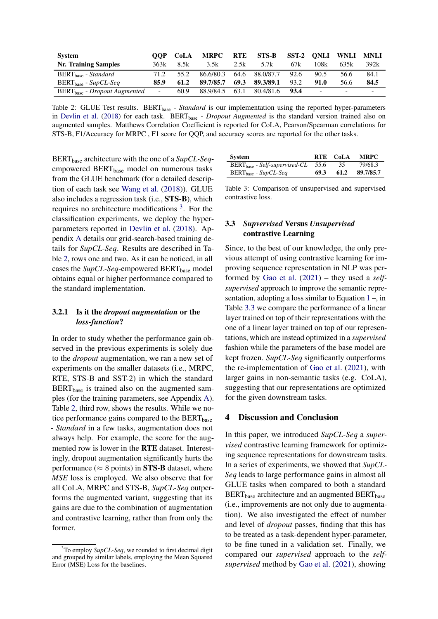<span id="page-3-3"></span>

| <b>System</b>                     | OOP    | CoLA | MRPC      | <b>RTE</b> | STS-B          | SST-2 | ONLI                     | <b>WNLI</b> | <b>MNLI</b> |
|-----------------------------------|--------|------|-----------|------------|----------------|-------|--------------------------|-------------|-------------|
| <b>Nr. Training Samples</b>       | 363k   | 8.5k | 3.5k      | 2.5k       | 5.7k           | 67k   | 108k                     | 635k        | 392k        |
| BERT <sub>hase</sub> - Standard   | 71.2   | 55.2 | 86.6/80.3 |            | 64.6 88.0/87.7 | 92.6  | 90.5                     | 56.6        | 84.1        |
| $BERT_{base}$ - $SupCL-Seq$       | 85.9   | 61.2 | 89.7/85.7 | 69.3       | 89.3/89.1      | 93.2  | 91.0                     | 56.6        | 84.5        |
| $BERT_{base} - Dropout Augmented$ | $\sim$ | 60.9 | 88.9/84.5 | 63.1       | 80.4/81.6      | 93.4  | $\overline{\phantom{0}}$ | -           |             |

Table 2: GLUE Test results. BERT<sub>base</sub> - *Standard* is our implementation using the reported hyper-parameters in [Devlin et al.](#page-4-12) [\(2018\)](#page-4-12) for each task. BERT<sub>base</sub> - *Dropout Augmented* is the standard version trained also on augmented samples. Matthews Correlation Coefficient is reported for CoLA, Pearson/Spearman correlations for STS-B, F1/Accuracy for MRPC , F1 score for QQP, and accuracy scores are reported for the other tasks.

BERT<sub>base</sub> architecture with the one of a *SupCL-Seq*empowered BERT<sub>base</sub> model on numerous tasks from the GLUE benchmark (for a detailed description of each task see [Wang et al.](#page-4-11) [\(2018\)](#page-4-11)). GLUE also includes a regression task (i.e., STS-B), which requires no architecture modifications  $3$ . For the classification experiments, we deploy the hyperparameters reported in [Devlin et al.](#page-4-12) [\(2018\)](#page-4-12). Appendix [A](#page-5-0) details our grid-search-based training details for *SupCL-Seq*. Results are described in Table [2,](#page-3-3) rows one and two. As it can be noticed, in all cases the *SupCL-Seq-empowered* BERT<sub>base</sub> model obtains equal or higher performance compared to the standard implementation.

# <span id="page-3-1"></span>3.2.1 Is it the *dropout augmentation* or the *loss-function*?

In order to study whether the performance gain observed in the previous experiments is solely due to the *dropout* augmentation, we ran a new set of experiments on the smaller datasets (i.e., MRPC, RTE, STS-B and SST-2) in which the standard  $BERT<sub>base</sub>$  is trained also on the augmented samples (for the training parameters, see Appendix [A\)](#page-5-0). Table [2,](#page-3-3) third row, shows the results. While we notice performance gains compared to the BERT<sub>base</sub> - *Standard* in a few tasks, augmentation does not always help. For example, the score for the augmented row is lower in the RTE dataset. Interestingly, dropout augmentation significantly hurts the performance ( $\approx 8$  points) in **STS-B** dataset, where *MSE* loss is employed. We also observe that for all CoLA, MRPC and STS-B, *SupCL-Seq* outperforms the augmented variant, suggesting that its gains are due to the combination of augmentation and contrastive learning, rather than from only the former.

| System                             |      | RTE CoLA | <b>MRPC</b> |
|------------------------------------|------|----------|-------------|
| $BERT_{base}$ - Self-supervised-CL | 55.6 | 35       | 79/68.3     |
| $BERT_{base}$ - SupCL-Seq          | 69.3 | 61.2     | 89.7/85.7   |

Table 3: Comparison of unsupervised and supervised contrastive loss.

# <span id="page-3-0"></span>3.3 *Supvervised* Versus *Unsupervised* contrastive Learning

Since, to the best of our knowledge, the only previous attempt of using contrastive learning for improving sequence representation in NLP was performed by [Gao et al.](#page-4-7) [\(2021\)](#page-4-7) – they used a *selfsupervised* approach to improve the semantic representation, adopting a loss similar to Equation  $1 1 -$ , in Table [3.3](#page-3-0) we compare the performance of a linear layer trained on top of their representations with the one of a linear layer trained on top of our representations, which are instead optimized in a *supervised* fashion while the parameters of the base model are kept frozen. *SupCL-Seq* significantly outperforms the re-implementation of [Gao et al.](#page-4-7) [\(2021\)](#page-4-7), with larger gains in non-semantic tasks (e.g. CoLA), suggesting that our representations are optimized for the given downstream tasks.

# 4 Discussion and Conclusion

In this paper, we introduced *SupCL-Seq* a *supervised* contrastive learning framework for optimizing sequence representations for downstream tasks. In a series of experiments, we showed that *SupCL-Seq* leads to large performance gains in almost all GLUE tasks when compared to both a standard  $BERT<sub>base</sub>$  architecture and an augmented  $BERT<sub>base</sub>$ (i.e., improvements are not only due to augmentation). We also investigated the effect of number and level of *dropout* passes, finding that this has to be treated as a task-dependent hyper-parameter, to be fine tuned in a validation set. Finally, we compared our *supervised* approach to the *selfsupervised* method by [Gao et al.](#page-4-7) [\(2021\)](#page-4-7), showing

<span id="page-3-2"></span><sup>3</sup>To employ *SupCL-Seq*, we rounded to first decimal digit and grouped by similar labels, employing the Mean Squared Error (MSE) Loss for the baselines.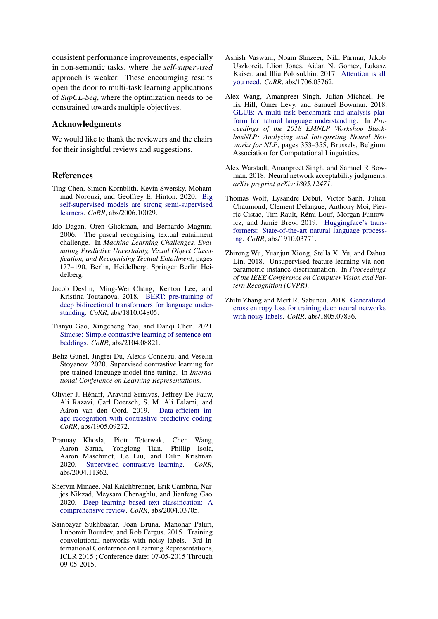consistent performance improvements, especially in non-semantic tasks, where the *self-supervised* approach is weaker. These encouraging results open the door to multi-task learning applications of *SupCL-Seq*, where the optimization needs to be constrained towards multiple objectives.

# Acknowledgments

We would like to thank the reviewers and the chairs for their insightful reviews and suggestions.

### References

- <span id="page-4-6"></span>Ting Chen, Simon Kornblith, Kevin Swersky, Mohammad Norouzi, and Geoffrey E. Hinton. 2020. [Big](http://arxiv.org/abs/2006.10029) [self-supervised models are strong semi-supervised](http://arxiv.org/abs/2006.10029) [learners.](http://arxiv.org/abs/2006.10029) *CoRR*, abs/2006.10029.
- <span id="page-4-13"></span>Ido Dagan, Oren Glickman, and Bernardo Magnini. 2006. The pascal recognising textual entailment challenge. In *Machine Learning Challenges. Evaluating Predictive Uncertainty, Visual Object Classification, and Recognising Tectual Entailment*, pages 177–190, Berlin, Heidelberg. Springer Berlin Heidelberg.
- <span id="page-4-12"></span>Jacob Devlin, Ming-Wei Chang, Kenton Lee, and Kristina Toutanova. 2018. [BERT: pre-training of](http://arxiv.org/abs/1810.04805) [deep bidirectional transformers for language under](http://arxiv.org/abs/1810.04805)[standing.](http://arxiv.org/abs/1810.04805) *CoRR*, abs/1810.04805.
- <span id="page-4-7"></span>Tianyu Gao, Xingcheng Yao, and Danqi Chen. 2021. [Simcse: Simple contrastive learning of sentence em](http://arxiv.org/abs/2104.08821)[beddings.](http://arxiv.org/abs/2104.08821) *CoRR*, abs/2104.08821.
- <span id="page-4-9"></span>Beliz Gunel, Jingfei Du, Alexis Conneau, and Veselin Stoyanov. 2020. Supervised contrastive learning for pre-trained language model fine-tuning. In *International Conference on Learning Representations*.
- <span id="page-4-4"></span>Olivier J. Hénaff, Aravind Srinivas, Jeffrey De Fauw, Ali Razavi, Carl Doersch, S. M. Ali Eslami, and Aäron van den Oord. 2019. [Data-efficient im](http://arxiv.org/abs/1905.09272)[age recognition with contrastive predictive coding.](http://arxiv.org/abs/1905.09272) *CoRR*, abs/1905.09272.
- <span id="page-4-5"></span>Prannay Khosla, Piotr Teterwak, Chen Wang, Aaron Sarna, Yonglong Tian, Phillip Isola, Aaron Maschinot, Ce Liu, and Dilip Krishnan. 2020. [Supervised contrastive learning.](http://arxiv.org/abs/2004.11362) *CoRR*, abs/2004.11362.
- <span id="page-4-0"></span>Shervin Minaee, Nal Kalchbrenner, Erik Cambria, Narjes Nikzad, Meysam Chenaghlu, and Jianfeng Gao. 2020. [Deep learning based text classification: A](http://arxiv.org/abs/2004.03705) [comprehensive review.](http://arxiv.org/abs/2004.03705) *CoRR*, abs/2004.03705.
- <span id="page-4-2"></span>Sainbayar Sukhbaatar, Joan Bruna, Manohar Paluri, Lubomir Bourdev, and Rob Fergus. 2015. Training convolutional networks with noisy labels. 3rd International Conference on Learning Representations, ICLR 2015 ; Conference date: 07-05-2015 Through 09-05-2015.
- <span id="page-4-8"></span>Ashish Vaswani, Noam Shazeer, Niki Parmar, Jakob Uszkoreit, Llion Jones, Aidan N. Gomez, Lukasz Kaiser, and Illia Polosukhin. 2017. [Attention is all](http://arxiv.org/abs/1706.03762) [you need.](http://arxiv.org/abs/1706.03762) *CoRR*, abs/1706.03762.
- <span id="page-4-11"></span>Alex Wang, Amanpreet Singh, Julian Michael, Felix Hill, Omer Levy, and Samuel Bowman. 2018. [GLUE: A multi-task benchmark and analysis plat](https://doi.org/10.18653/v1/W18-5446)[form for natural language understanding.](https://doi.org/10.18653/v1/W18-5446) In *Proceedings of the 2018 EMNLP Workshop BlackboxNLP: Analyzing and Interpreting Neural Networks for NLP*, pages 353–355, Brussels, Belgium. Association for Computational Linguistics.
- <span id="page-4-10"></span>Alex Warstadt, Amanpreet Singh, and Samuel R Bowman. 2018. Neural network acceptability judgments. *arXiv preprint arXiv:1805.12471*.
- <span id="page-4-14"></span>Thomas Wolf, Lysandre Debut, Victor Sanh, Julien Chaumond, Clement Delangue, Anthony Moi, Pierric Cistac, Tim Rault, Rémi Louf, Morgan Funtowicz, and Jamie Brew. 2019. [Huggingface's trans](http://arxiv.org/abs/1910.03771)[formers: State-of-the-art natural language process](http://arxiv.org/abs/1910.03771)[ing.](http://arxiv.org/abs/1910.03771) *CoRR*, abs/1910.03771.
- <span id="page-4-3"></span>Zhirong Wu, Yuanjun Xiong, Stella X. Yu, and Dahua Lin. 2018. Unsupervised feature learning via nonparametric instance discrimination. In *Proceedings of the IEEE Conference on Computer Vision and Pattern Recognition (CVPR)*.
- <span id="page-4-1"></span>Zhilu Zhang and Mert R. Sabuncu. 2018. [Generalized](http://arxiv.org/abs/1805.07836) [cross entropy loss for training deep neural networks](http://arxiv.org/abs/1805.07836) [with noisy labels.](http://arxiv.org/abs/1805.07836) *CoRR*, abs/1805.07836.